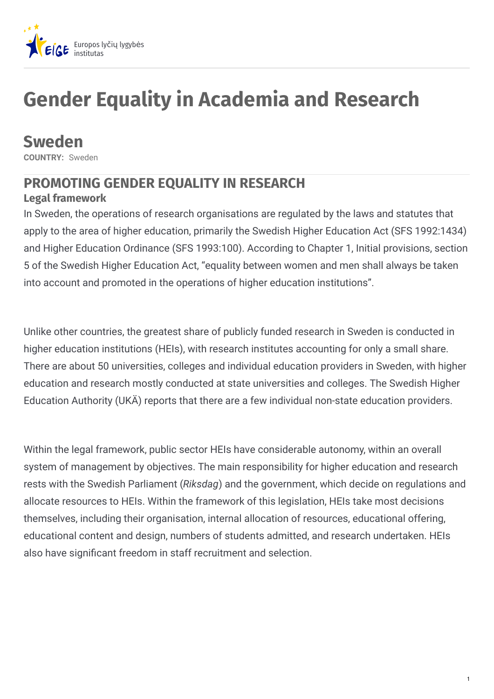

# **Gender Equality in Academia and Research**

**Sweden**

**COUNTRY:** Sweden

### **PROMOTING GENDER EQUALITY IN RESEARCH**

### **Legal framework**

In Sweden, the operations of research organisations are regulated by the laws and statutes that apply to the area of higher education, primarily the Swedish Higher Education Act (SFS 1992:1434) and Higher Education Ordinance (SFS 1993:100). According to Chapter 1, Initial provisions, section 5 of the Swedish Higher Education Act, "equality between women and men shall always be taken into account and promoted in the operations of higher education institutions".

Unlike other countries, the greatest share of publicly funded research in Sweden is conducted in higher education institutions (HEIs), with research institutes accounting for only a small share. There are about 50 universities, colleges and individual education providers in Sweden, with higher education and research mostly conducted at state universities and colleges. The Swedish Higher Education Authority (UKÄ) reports that there are a few individual non-state education providers.

Within the legal framework, public sector HEIs have considerable autonomy, within an overall system of management by objectives. The main responsibility for higher education and research rests with the Swedish Parliament (*Riksdag*) and the government, which decide on regulations and allocate resources to HEIs. Within the framework of this legislation, HEIs take most decisions themselves, including their organisation, internal allocation of resources, educational offering, educational content and design, numbers of students admitted, and research undertaken. HEIs also have significant freedom in staff recruitment and selection.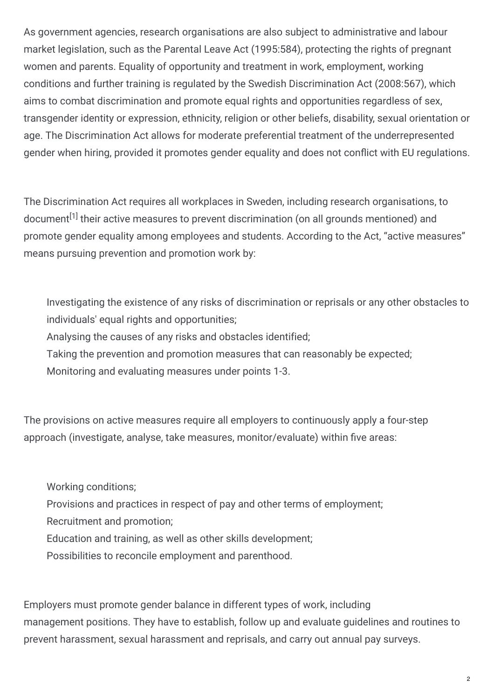As government agencies, research organisations are also subject to administrative and labour market legislation, such as the Parental Leave Act (1995:584), protecting the rights of pregnant women and parents. Equality of opportunity and treatment in work, employment, working conditions and further training is regulated by the Swedish Discrimination Act (2008:567), which aims to combat discrimination and promote equal rights and opportunities regardless of sex, transgender identity or expression, ethnicity, religion or other beliefs, disability, sexual orientation or age. The Discrimination Act allows for moderate preferential treatment of the underrepresented gender when hiring, provided it promotes gender equality and does not conflict with EU regulations.

The Discrimination Act requires all workplaces in Sweden, including research organisations, to document<sup>[1]</sup> their active measures to prevent discrimination (on all grounds mentioned) and promote gender equality among employees and students. According to the Act, "active measures" means pursuing prevention and promotion work by:

Investigating the existence of any risks of discrimination or reprisals or any other obstacles to individuals' equal rights and opportunities;

Analysing the causes of any risks and obstacles identified;

Taking the prevention and promotion measures that can reasonably be expected;

Monitoring and evaluating measures under points 1-3.

The provisions on active measures require all employers to continuously apply a four-step approach (investigate, analyse, take measures, monitor/evaluate) within five areas:

Working conditions;

Provisions and practices in respect of pay and other terms of employment;

Recruitment and promotion;

Education and training, as well as other skills development;

Possibilities to reconcile employment and parenthood.

Employers must promote gender balance in different types of work, including management positions. They have to establish, follow up and evaluate guidelines and routines to prevent harassment, sexual harassment and reprisals, and carry out annual pay surveys.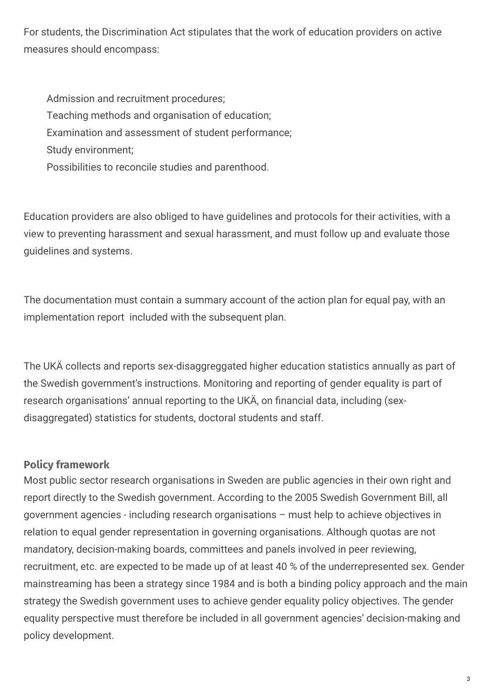For students, the Discrimination Act stipulates that the work of education providers on active measures should encompass:

Admission and recruitment procedures; Teaching methods and organisation of education; Examination and assessment of student performance; Study environment; Possibilities to reconcile studies and parenthood.

Education providers are also obliged to have guidelines and protocols for their activities, with a view to preventing harassment and sexual harassment, and must follow up and evaluate those guidelines and systems.

The documentation must contain a summary account of the action plan for equal pay, with an implementation report included with the subsequent plan.

The UKÄ collects and reports sex-disaggreggated higher education statistics annually as part of the Swedish government's instructions. Monitoring and reporting of gender equality is part of research organisations' annual reporting to the UKÄ, on financial data, including (sexdisaggregated) statistics for students, doctoral students and staff.

#### **Policy framework**

Most public sector research organisations in Sweden are public agencies in their own right and report directly to the Swedish government. According to the 2005 Swedish Government Bill, all government agencies - including research organisations – must help to achieve objectives in relation to equal gender representation in governing organisations. Although quotas are not mandatory, decision-making boards, committees and panels involved in peer reviewing, recruitment, etc. are expected to be made up of at least 40 % of the underrepresented sex. Gender mainstreaming has been a strategy since 1984 and is both a binding policy approach and the main strategy the Swedish government uses to achieve gender equality policy objectives. The gender equality perspective must therefore be included in all government agencies' decision-making and policy development.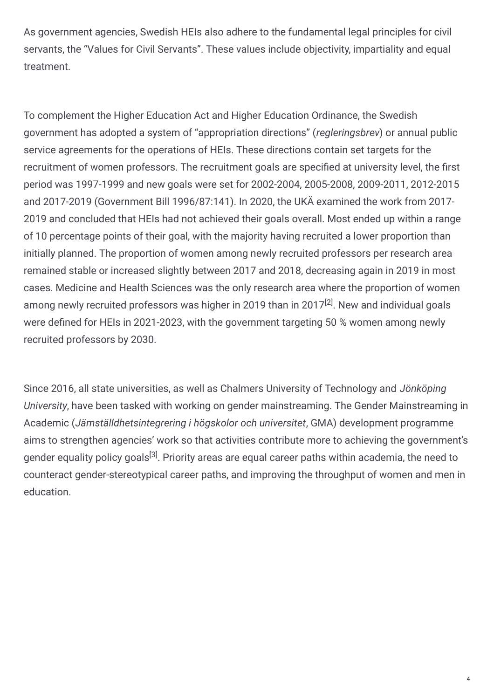As government agencies, Swedish HEIs also adhere to the fundamental legal principles for civil servants, the "Values for Civil Servants". These values include objectivity, impartiality and equal treatment.

To complement the Higher Education Act and Higher Education Ordinance, the Swedish government has adopted a system of "appropriation directions" (*regleringsbrev*) or annual public service agreements for the operations of HEIs. These directions contain set targets for the recruitment of women professors. The recruitment goals are specified at university level, the first period was 1997-1999 and new goals were set for 2002-2004, 2005-2008, 2009-2011, 2012-2015 and 2017-2019 (Government Bill 1996/87:141). In 2020, the UKÄ examined the work from 2017- 2019 and concluded that HEIs had not achieved their goals overall. Most ended up within a range of 10 percentage points of their goal, with the majority having recruited a lower proportion than initially planned. The proportion of women among newly recruited professors per research area remained stable or increased slightly between 2017 and 2018, decreasing again in 2019 in most cases. Medicine and Health Sciences was the only research area where the proportion of women among newly recruited professors was higher in 2019 than in 2017<sup>[2]</sup>. New and individual goals were defined for HEIs in 2021-2023, with the government targeting 50 % women among newly recruited professors by 2030.

Since 2016, all state universities, as well as Chalmers University of Technology and *Jönköping University*, have been tasked with working on gender mainstreaming. The Gender Mainstreaming in Academic (*Jämställdhetsintegrering i högskolor och universitet*, GMA) development programme aims to strengthen agencies' work so that activities contribute more to achieving the government's gender equality policy goals<sup>[3]</sup>. Priority areas are equal career paths within academia, the need to counteract gender-stereotypical career paths, and improving the throughput of women and men in education.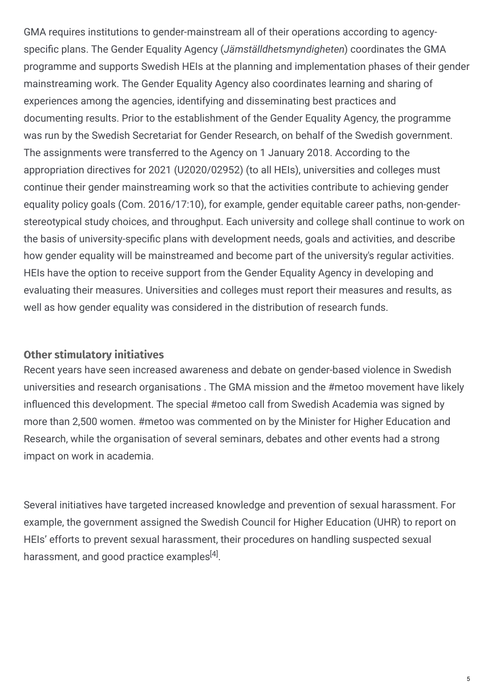GMA requires institutions to gender-mainstream all of their operations according to agencyspecific plans. The Gender Equality Agency (*Jämställdhetsmyndigheten*) coordinates the GMA programme and supports Swedish HEIs at the planning and implementation phases of their gender mainstreaming work. The Gender Equality Agency also coordinates learning and sharing of experiences among the agencies, identifying and disseminating best practices and documenting results. Prior to the establishment of the Gender Equality Agency, the programme was run by the Swedish Secretariat for Gender Research, on behalf of the Swedish government. The assignments were transferred to the Agency on 1 January 2018. According to the appropriation directives for 2021 (U2020/02952) (to all HEIs), universities and colleges must continue their gender mainstreaming work so that the activities contribute to achieving gender equality policy goals (Com. 2016/17:10), for example, gender equitable career paths, non-genderstereotypical study choices, and throughput. Each university and college shall continue to work on the basis of university-specific plans with development needs, goals and activities, and describe how gender equality will be mainstreamed and become part of the university's regular activities. HEIs have the option to receive support from the Gender Equality Agency in developing and evaluating their measures. Universities and colleges must report their measures and results, as well as how gender equality was considered in the distribution of research funds.

#### **Other stimulatory initiatives**

Recent years have seen increased awareness and debate on gender-based violence in Swedish universities and research organisations . The GMA mission and the #metoo movement have likely influenced this development. The special #metoo call from Swedish Academia was signed by more than 2,500 women. #metoo was commented on by the Minister for Higher Education and Research, while the organisation of several seminars, debates and other events had a strong impact on work in academia.

Several initiatives have targeted increased knowledge and prevention of sexual harassment. For example, the government assigned the Swedish Council for Higher Education (UHR) to report on HEIs' efforts to prevent sexual harassment, their procedures on handling suspected sexual harassment, and good practice examples $^{[4]}.$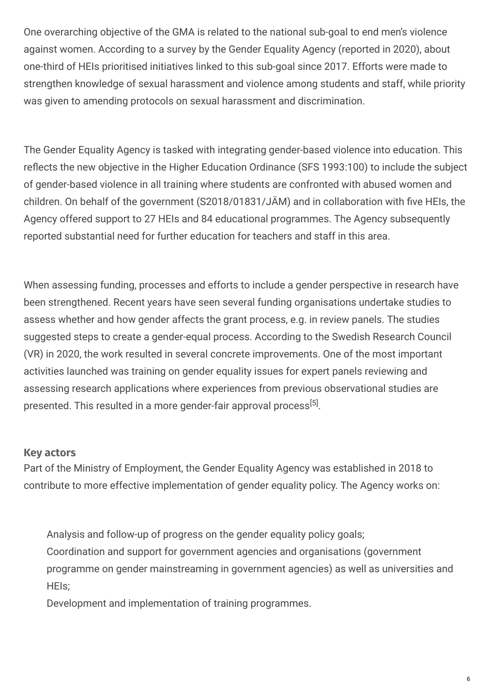One overarching objective of the GMA is related to the national sub-goal to end men's violence against women. According to a survey by the Gender Equality Agency (reported in 2020), about one-third of HEIs prioritised initiatives linked to this sub-goal since 2017. Efforts were made to strengthen knowledge of sexual harassment and violence among students and staff, while priority was given to amending protocols on sexual harassment and discrimination.

The Gender Equality Agency is tasked with integrating gender-based violence into education. This reflects the new objective in the Higher Education Ordinance (SFS 1993:100) to include the subject of gender-based violence in all training where students are confronted with abused women and children. On behalf of the government (S2018/01831/JÄM) and in collaboration with five HEIs, the Agency offered support to 27 HEIs and 84 educational programmes. The Agency subsequently reported substantial need for further education for teachers and staff in this area.

When assessing funding, processes and efforts to include a gender perspective in research have been strengthened. Recent years have seen several funding organisations undertake studies to assess whether and how gender affects the grant process, e.g. in review panels. The studies suggested steps to create a gender-equal process. According to the Swedish Research Council (VR) in 2020, the work resulted in several concrete improvements. One of the most important activities launched was training on gender equality issues for expert panels reviewing and assessing research applications where experiences from previous observational studies are presented. This resulted in a more gender-fair approval process<sup>[5]</sup>.

#### **Key actors**

Part of the Ministry of Employment, the Gender Equality Agency was established in 2018 to contribute to more effective implementation of gender equality policy. The Agency works on:

Analysis and follow-up of progress on the gender equality policy goals; Coordination and support for government agencies and organisations (government programme on gender mainstreaming in government agencies) as well as universities and HEIs;

Development and implementation of training programmes.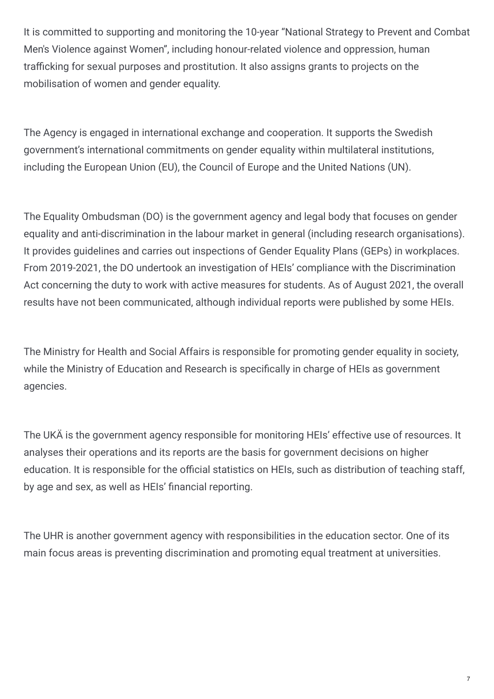It is committed to supporting and monitoring the 10-year "National Strategy to Prevent and Combat Men's Violence against Women", including honour-related violence and oppression, human trafficking for sexual purposes and prostitution. It also assigns grants to projects on the mobilisation of women and gender equality.

The Agency is engaged in international exchange and cooperation. It supports the Swedish government's international commitments on gender equality within multilateral institutions, including the European Union (EU), the Council of Europe and the United Nations (UN).

The Equality Ombudsman (DO) is the government agency and legal body that focuses on gender equality and anti-discrimination in the labour market in general (including research organisations). It provides guidelines and carries out inspections of Gender Equality Plans (GEPs) in workplaces. From 2019-2021, the DO undertook an investigation of HEIs' compliance with the Discrimination Act concerning the duty to work with active measures for students. As of August 2021, the overall results have not been communicated, although individual reports were published by some HEIs.

The Ministry for Health and Social Affairs is responsible for promoting gender equality in society, while the Ministry of Education and Research is specifically in charge of HEIs as government agencies.

The UKÄ is the government agency responsible for monitoring HEIs' effective use of resources. It analyses their operations and its reports are the basis for government decisions on higher education. It is responsible for the official statistics on HEIs, such as distribution of teaching staff, by age and sex, as well as HEIs' financial reporting.

The UHR is another government agency with responsibilities in the education sector. One of its main focus areas is preventing discrimination and promoting equal treatment at universities.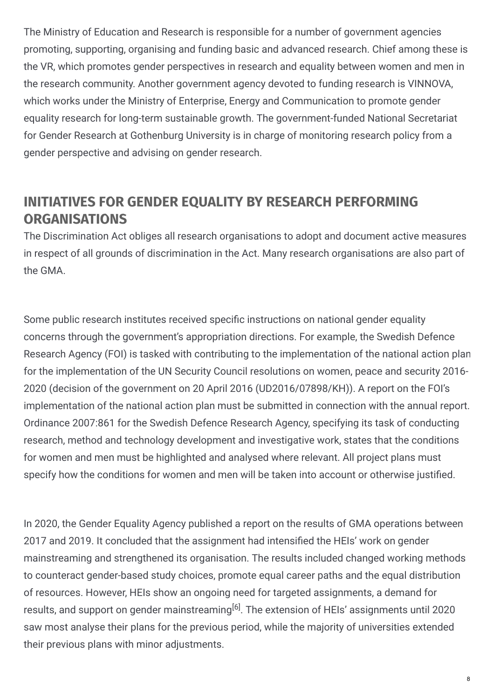The Ministry of Education and Research is responsible for a number of government agencies promoting, supporting, organising and funding basic and advanced research. Chief among these is the VR, which promotes gender perspectives in research and equality between women and men in the research community. Another government agency devoted to funding research is VINNOVA, which works under the Ministry of Enterprise, Energy and Communication to promote gender equality research for long-term sustainable growth. The government-funded National Secretariat for Gender Research at Gothenburg University is in charge of monitoring research policy from a gender perspective and advising on gender research.

### **INITIATIVES FOR GENDER EQUALITY BY RESEARCH PERFORMING ORGANISATIONS**

The Discrimination Act obliges all research organisations to adopt and document active measures in respect of all grounds of discrimination in the Act. Many research organisations are also part of the GMA.

Some public research institutes received specific instructions on national gender equality concerns through the government's appropriation directions. For example, the Swedish Defence Research Agency (FOI) is tasked with contributing to the implementation of the national action plan for the implementation of the UN Security Council resolutions on women, peace and security 2016- 2020 (decision of the government on 20 April 2016 (UD2016/07898/KH)). A report on the FOI's implementation of the national action plan must be submitted in connection with the annual report. Ordinance 2007:861 for the Swedish Defence Research Agency, specifying its task of conducting research, method and technology development and investigative work, states that the conditions for women and men must be highlighted and analysed where relevant. All project plans must specify how the conditions for women and men will be taken into account or otherwise justified.

In 2020, the Gender Equality Agency published a report on the results of GMA operations between 2017 and 2019. It concluded that the assignment had intensified the HEIs' work on gender mainstreaming and strengthened its organisation. The results included changed working methods to counteract gender-based study choices, promote equal career paths and the equal distribution of resources. However, HEIs show an ongoing need for targeted assignments, a demand for results, and support on gender mainstreaming<sup>[6]</sup>. The extension of HEIs' assignments until 2020 saw most analyse their plans for the previous period, while the majority of universities extended their previous plans with minor adjustments.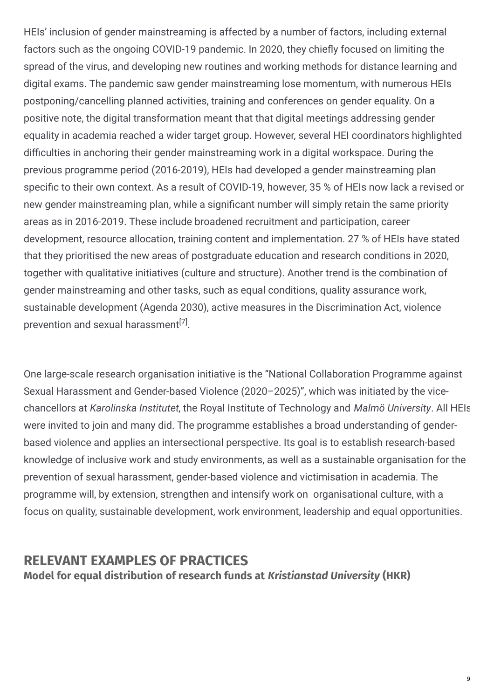HEIs' inclusion of gender mainstreaming is affected by a number of factors, including external factors such as the ongoing COVID-19 pandemic. In 2020, they chiefly focused on limiting the spread of the virus, and developing new routines and working methods for distance learning and digital exams. The pandemic saw gender mainstreaming lose momentum, with numerous HEIs postponing/cancelling planned activities, training and conferences on gender equality. On a positive note, the digital transformation meant that that digital meetings addressing gender equality in academia reached a wider target group. However, several HEI coordinators highlighted difficulties in anchoring their gender mainstreaming work in a digital workspace. During the previous programme period (2016-2019), HEIs had developed a gender mainstreaming plan specific to their own context. As a result of COVID-19, however, 35 % of HEIs now lack a revised or new gender mainstreaming plan, while a significant number will simply retain the same priority areas as in 2016-2019. These include broadened recruitment and participation, career development, resource allocation, training content and implementation. 27 % of HEIs have stated that they prioritised the new areas of postgraduate education and research conditions in 2020, together with qualitative initiatives (culture and structure). Another trend is the combination of gender mainstreaming and other tasks, such as equal conditions, quality assurance work, sustainable development (Agenda 2030), active measures in the Discrimination Act, violence prevention and sexual harassment<sup>[7]</sup>.

One large-scale research organisation initiative is the "National Collaboration Programme against Sexual Harassment and Gender-based Violence (2020–2025)", which was initiated by the vicechancellors at *Karolinska Institutet*, the Royal Institute of Technology and *Malmö University*. All HEIs were invited to join and many did. The programme establishes a broad understanding of genderbased violence and applies an intersectional perspective. Its goal is to establish research-based knowledge of inclusive work and study environments, as well as a sustainable organisation for the prevention of sexual harassment, gender-based violence and victimisation in academia. The programme will, by extension, strengthen and intensify work on organisational culture, with a focus on quality, sustainable development, work environment, leadership and equal opportunities.

### **RELEVANT EXAMPLES OF PRACTICES Model for equal distribution of research funds at** *Kristianstad University* **(HKR)**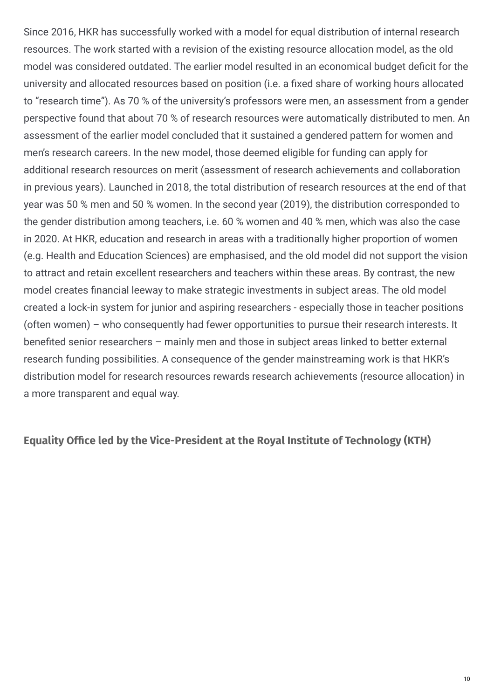Since 2016, HKR has successfully worked with a model for equal distribution of internal research resources. The work started with a revision of the existing resource allocation model, as the old model was considered outdated. The earlier model resulted in an economical budget deficit for the university and allocated resources based on position (i.e. a fixed share of working hours allocated to "research time"). As 70 % of the university's professors were men, an assessment from a gender perspective found that about 70 % of research resources were automatically distributed to men. An assessment of the earlier model concluded that it sustained a gendered pattern for women and men's research careers. In the new model, those deemed eligible for funding can apply for additional research resources on merit (assessment of research achievements and collaboration in previous years). Launched in 2018, the total distribution of research resources at the end of that year was 50 % men and 50 % women. In the second year (2019), the distribution corresponded to the gender distribution among teachers, i.e. 60 % women and 40 % men, which was also the case in 2020. At HKR, education and research in areas with a traditionally higher proportion of women (e.g. Health and Education Sciences) are emphasised, and the old model did not support the vision to attract and retain excellent researchers and teachers within these areas. By contrast, the new model creates financial leeway to make strategic investments in subject areas. The old model created a lock-in system for junior and aspiring researchers - especially those in teacher positions (often women) – who consequently had fewer opportunities to pursue their research interests. It benefited senior researchers – mainly men and those in subiect areas linked to better external research funding possibilities. A consequence of the gender mainstreaming work is that HKR's distribution model for research resources rewards research achievements (resource allocation) in a more transparent and equal way.

**Equality Office led by the Vice-President at the Royal Institute of Technology (KTH)**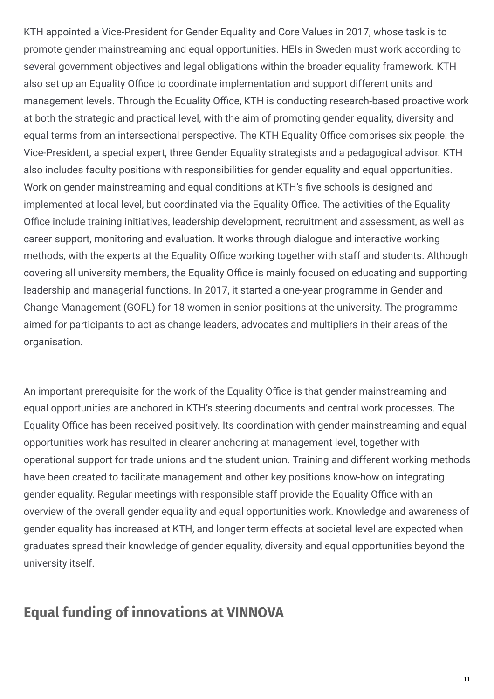KTH appointed a Vice-President for Gender Equality and Core Values in 2017, whose task is to promote gender mainstreaming and equal opportunities. HEIs in Sweden must work according to several government objectives and legal obligations within the broader equality framework. KTH also set up an Equality Office to coordinate implementation and support different units and management levels. Through the Equality Office, KTH is conducting research-based proactive work at both the strategic and practical level, with the aim of promoting gender equality, diversity and equal terms from an intersectional perspective. The KTH Equality Office comprises six people: the Vice-President, a special expert, three Gender Equality strategists and a pedagogical advisor. KTH also includes faculty positions with responsibilities for gender equality and equal opportunities. Work on gender mainstreaming and equal conditions at KTH's five schools is designed and implemented at local level, but coordinated via the Equality Office. The activities of the Equality Office include training initiatives, leadership development, recruitment and assessment, as well as career support, monitoring and evaluation. It works through dialogue and interactive working methods, with the experts at the Equality Office working together with staff and students. Although covering all university members, the Equality Office is mainly focused on educating and supporting leadership and managerial functions. In 2017, it started a one-year programme in Gender and Change Management (GOFL) for 18 women in senior positions at the university. The programme aimed for participants to act as change leaders, advocates and multipliers in their areas of the organisation.

An important prerequisite for the work of the Equality Office is that gender mainstreaming and equal opportunities are anchored in KTH's steering documents and central work processes. The Equality Office has been received positively. Its coordination with gender mainstreaming and equal opportunities work has resulted in clearer anchoring at management level, together with operational support for trade unions and the student union. Training and different working methods have been created to facilitate management and other key positions know-how on integrating gender equality. Regular meetings with responsible staff provide the Equality Office with an overview of the overall gender equality and equal opportunities work. Knowledge and awareness of gender equality has increased at KTH, and longer term effects at societal level are expected when graduates spread their knowledge of gender equality, diversity and equal opportunities beyond the university itself.

## **Equal funding of innovations at VINNOVA**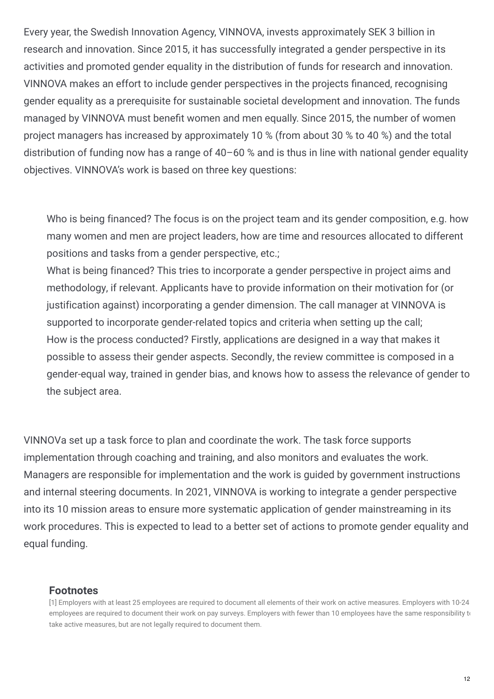Every year, the Swedish Innovation Agency, VINNOVA, invests approximately SEK 3 billion in research and innovation. Since 2015, it has successfully integrated a gender perspective in its activities and promoted gender equality in the distribution of funds for research and innovation. VINNOVA makes an effort to include gender perspectives in the projects financed, recognising gender equality as a prerequisite for sustainable societal development and innovation. The funds managed by VINNOVA must benefit women and men equally. Since 2015, the number of women project managers has increased by approximately 10 % (from about 30 % to 40 %) and the total distribution of funding now has a range of 40–60 % and is thus in line with national gender equality objectives. VINNOVA's work is based on three key questions:

Who is being financed? The focus is on the project team and its gender composition, e.g. how many women and men are project leaders, how are time and resources allocated to different positions and tasks from a gender perspective, etc.;

What is being financed? This tries to incorporate a gender perspective in project aims and methodology, if relevant. Applicants have to provide information on their motivation for (or justification against) incorporating a gender dimension. The call manager at VINNOVA is supported to incorporate gender-related topics and criteria when setting up the call; How is the process conducted? Firstly, applications are designed in a way that makes it possible to assess their gender aspects. Secondly, the review committee is composed in a gender-equal way, trained in gender bias, and knows how to assess the relevance of gender to the subject area.

VINNOVa set up a task force to plan and coordinate the work. The task force supports implementation through coaching and training, and also monitors and evaluates the work. Managers are responsible for implementation and the work is guided by government instructions and internal steering documents. In 2021, VINNOVA is working to integrate a gender perspective into its 10 mission areas to ensure more systematic application of gender mainstreaming in its work procedures. This is expected to lead to a better set of actions to promote gender equality and equal funding.

#### **Footnotes**

<sup>[1]</sup> Employers with at least 25 employees are required to document all elements of their work on active measures. Employers with 10-24 employees are required to document their work on pay surveys. Employers with fewer than 10 employees have the same responsibility to take active measures, but are not legally required to document them.